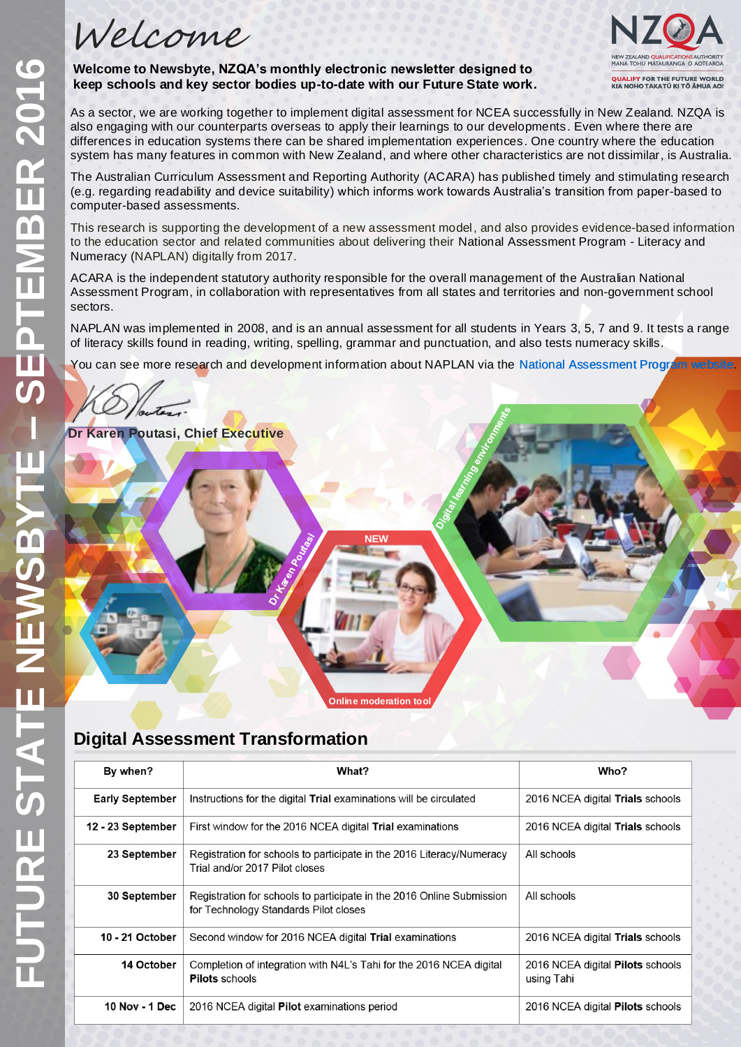Welcome



**Welcome to Newsbyte, NZQA's monthly electronic newsletter designed to keep schools and key sector bodies up-to-date with our Future State work.**

As a sector, we are working together to implement digital assessment for NCEA successfully in New Zealand. NZQA is also engaging with our counterparts overseas to apply their learnings to our developments. Even where there are differences in education systems there can be shared implementation experiences. One country where the education system has many features in common with New Zealand, and where other characteristics are not dissimilar, is Australia.

The Australian Curriculum Assessment and Reporting Authority (ACARA) has published timely and stimulating research (e.g. regarding readability and device suitability) which informs work towards Australia's transition from paper-based to computer-based assessments.

This research is supporting the development of a new assessment model, and also provides evidence-based information to the education sector and related communities about delivering their National Assessment Program - Literacy and Numeracy (NAPLAN) digitally from 2017.

ACARA is the independent statutory authority responsible for the overall management of the Australian National Assessment Program, in collaboration with representatives from all states and territories and non-government school sectors.

NAPLAN was implemented in 2008, and is an annual assessment for all students in Years 3, 5, 7 and 9. It tests a range of literacy skills found in reading, writing, spelling, grammar and punctuation, and also tests numeracy skills.

You can see more research and development information about NAPLAN via the [National Assessment Program website.](http://www.nap.edu.au/online-assessment/research-and-development)

**Dr Karen Poutasi, Chief Executive**

# **Digital Assessment Transformation**

| By when?               | What?                                                                                                          | Who?                                                  |
|------------------------|----------------------------------------------------------------------------------------------------------------|-------------------------------------------------------|
| <b>Early September</b> | Instructions for the digital Trial examinations will be circulated                                             | 2016 NCEA digital Trials schools                      |
| 12 - 23 September      | First window for the 2016 NCEA digital Trial examinations                                                      | 2016 NCEA digital Trials schools                      |
| 23 September           | Registration for schools to participate in the 2016 Literacy/Numeracy<br>Trial and/or 2017 Pilot closes        | All schools                                           |
| <b>30 September</b>    | Registration for schools to participate in the 2016 Online Submission<br>for Technology Standards Pilot closes | All schools                                           |
| 10 - 21 October        | Second window for 2016 NCEA digital Trial examinations                                                         | 2016 NCEA digital Trials schools                      |
| 14 October             | Completion of integration with N4L's Tahi for the 2016 NCEA digital<br><b>Pilots schools</b>                   | 2016 NCEA digital <b>Pilots</b> schools<br>using Tahi |
| 10 Nov - 1 Dec         | 2016 NCEA digital <b>Pilot</b> examinations period                                                             | 2016 NCEA digital <b>Pilots</b> schools               |

**Online moderation tool**

**NEW**